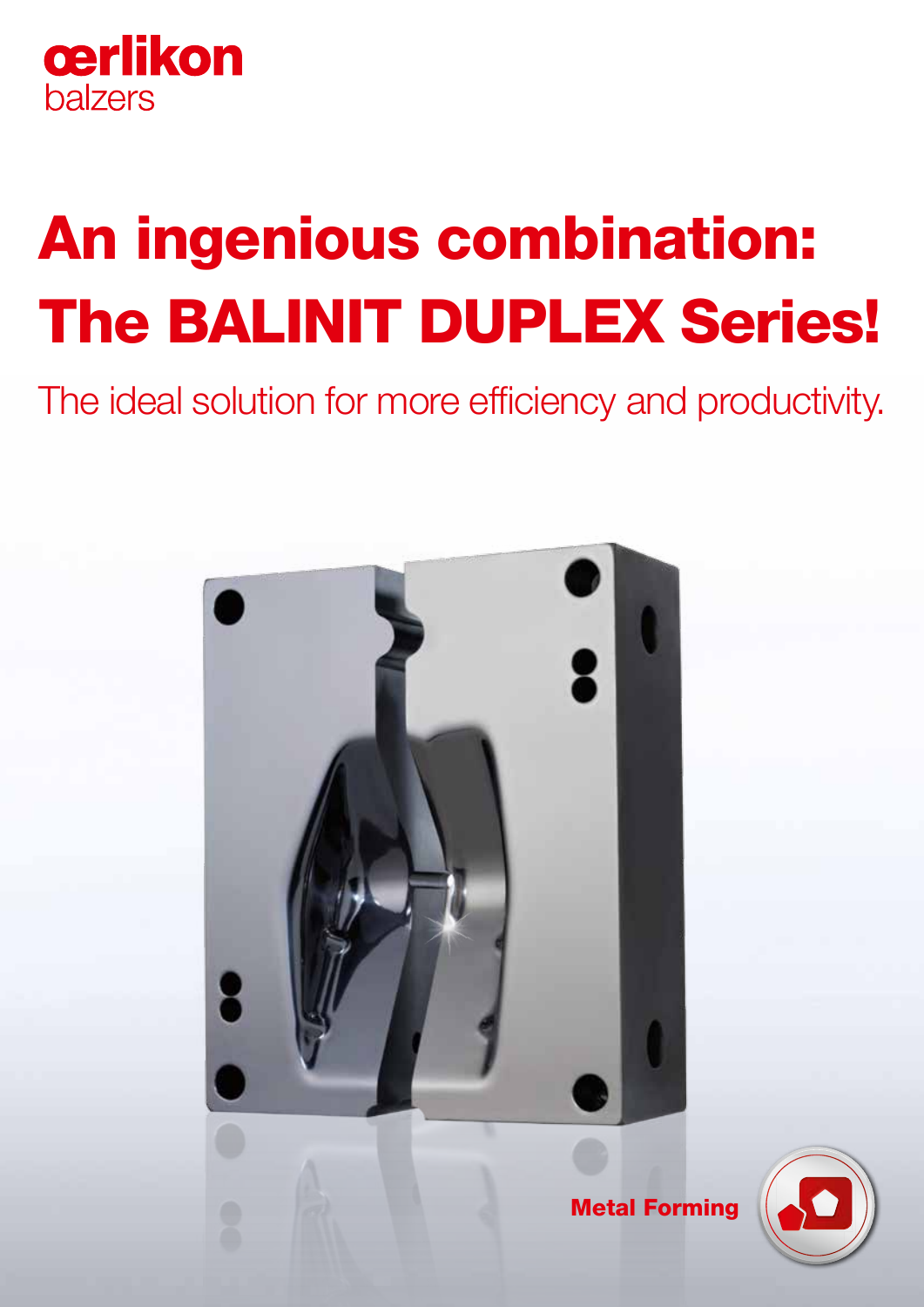

# An ingenious combination: The BALINIT DUPLEX Series!

The ideal solution for more efficiency and productivity.



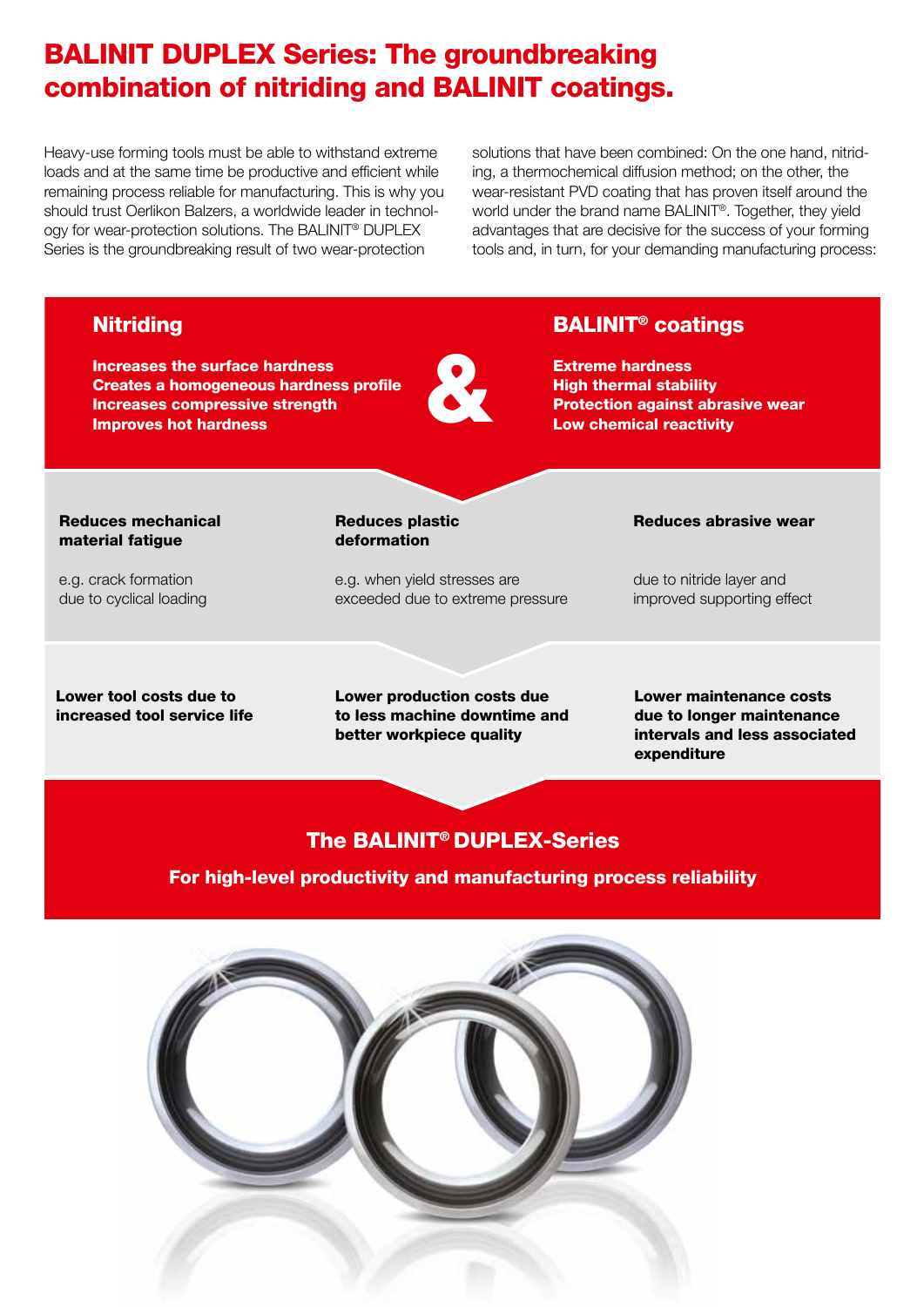# BALINIT DUPLEX Series: The groundbreaking combination of nitriding and BALINIT coatings.

Heavy-use forming tools must be able to withstand extreme loads and at the same time be productive and efficient while remaining process reliable for manufacturing. This is why you should trust Oerlikon Balzers, a worldwide leader in technology for wear-protection solutions. The BALINIT® DUPLEX Series is the groundbreaking result of two wear-protection

solutions that have been combined: On the one hand, nitriding, a thermochemical diffusion method; on the other, the wear-resistant PVD coating that has proven itself around the world under the brand name BALINIT®. Together, they yield advantages that are decisive for the success of your forming tools and, in turn, for your demanding manufacturing process:

## & The BALINIT® DUPLEX-Series For high-level productivity and manufacturing process reliability Lower tool costs due to increased tool service life Lower production costs due to less machine downtime and better workpiece quality Lower maintenance costs due to longer maintenance intervals and less associated expenditure Reduces plastic deformation e.g. when yield stresses are exceeded due to extreme pressure Reduces mechanical material fatigue e.g. crack formation due to cyclical loading Reduces abrasive wear due to nitride layer and improved supporting effect **Nitriding** Increases the surface hardness Creates a homogeneous hardness profile Increases compressive strength Improves hot hardness BALINIT® coatings Extreme hardness High thermal stability Protection against abrasive wear Low chemical reactivity

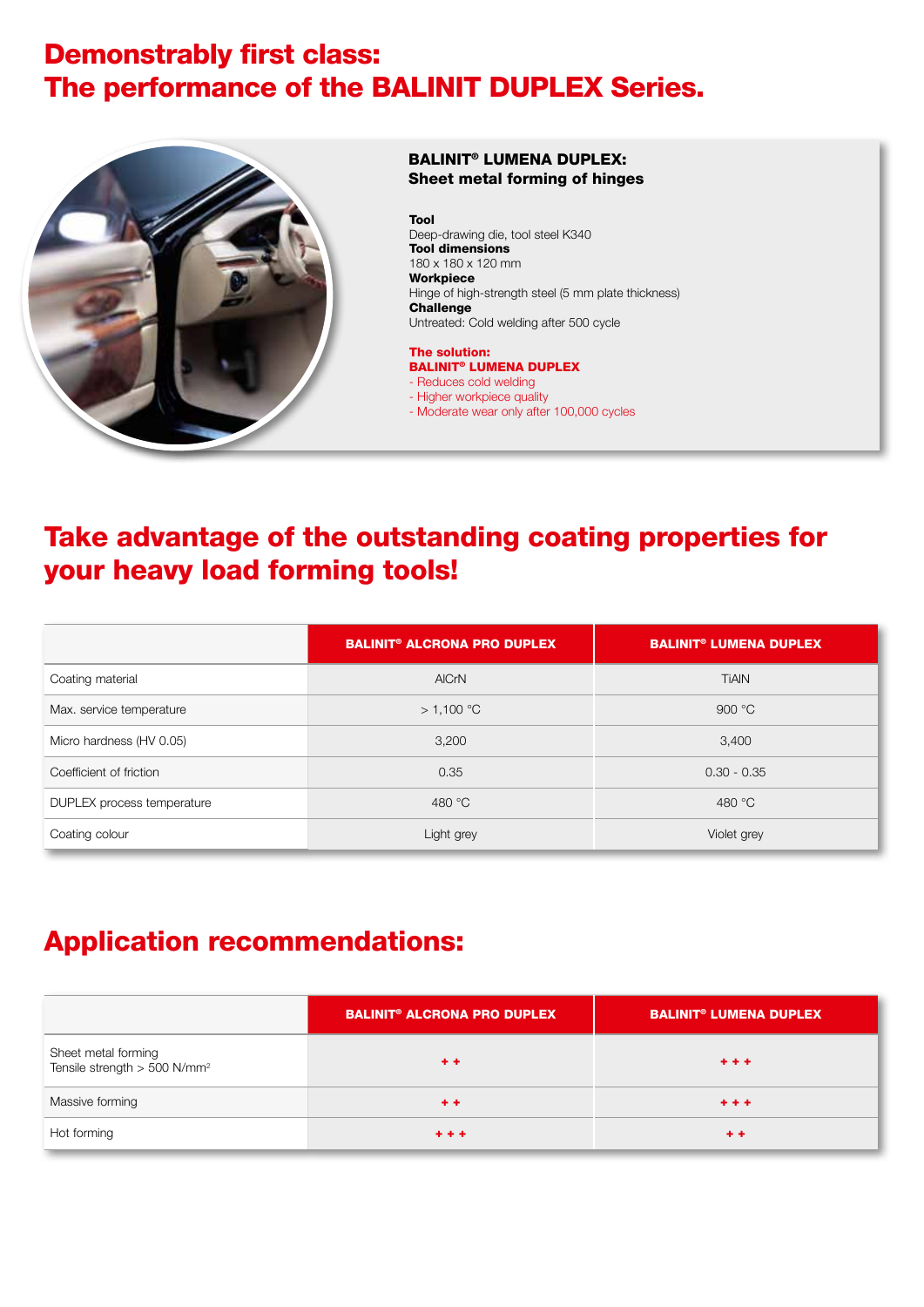## Demonstrably first class: The performance of the BALINIT DUPLEX Series.



### BALINIT® LUMENA DUPLEX: Sheet metal forming of hinges

#### Tool

Deep-drawing die, tool steel K340 Tool dimensions 180 x 180 x 120 mm Workpiece Hinge of high-strength steel (5 mm plate thickness) Challenge Untreated: Cold welding after 500 cycle

#### The solution: BALINIT® LUMENA DUPLEX

- Reduces cold welding
- Higher workpiece quality
- Moderate wear only after 100,000 cycles

## Take advantage of the outstanding coating properties for your heavy load forming tools!

|                            | <b>BALINIT<sup>®</sup> ALCRONA PRO DUPLEX</b> | <b>BALINIT<sup>®</sup> LUMENA DUPLEX</b> |
|----------------------------|-----------------------------------------------|------------------------------------------|
| Coating material           | <b>AICrN</b>                                  | <b>TIAIN</b>                             |
| Max. service temperature   | > 1,100 °C                                    | 900 $\degree$ C                          |
| Micro hardness (HV 0.05)   | 3,200                                         | 3,400                                    |
| Coefficient of friction    | 0.35                                          | $0.30 - 0.35$                            |
| DUPLEX process temperature | 480 °C                                        | 480 °C                                   |
| Coating colour             | Light grey                                    | Violet grey                              |

## Application recommendations:

|                                                                 | <b>BALINIT<sup>®</sup> ALCRONA PRO DUPLEX</b> | <b>BALINIT<sup>®</sup> LUMENA DUPLEX</b> |
|-----------------------------------------------------------------|-----------------------------------------------|------------------------------------------|
| Sheet metal forming<br>Tensile strength > 500 N/mm <sup>2</sup> | $+ +$                                         | $+ + +$                                  |
| Massive forming                                                 | $+ +$                                         | $+ + +$                                  |
| Hot forming                                                     | $+ + +$                                       | $+ +$                                    |